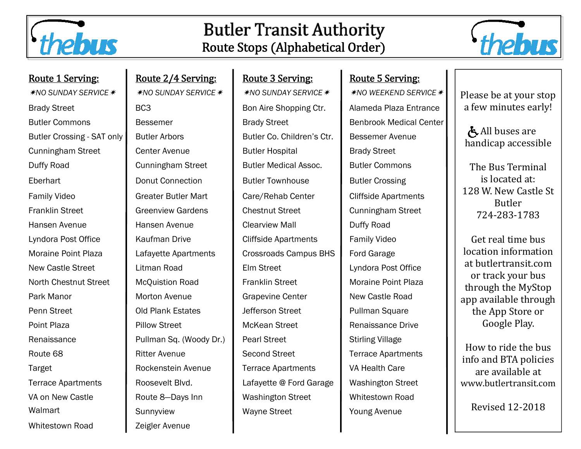

## **Butler Transit Authority** Route Stops (Alphabetical Order)



|  | <u> Route 1 Serving:</u> |
|--|--------------------------|
|  |                          |

*\*NO SUNDAY SERVICE \** 

Whitestown Road **Zeigler Avenue** 

Route 2/4 Serving: Route 3 Serving: Route 5 Serving: *\**NO SUNDAY SERVICE *\* NO SUNDAY SERVICE \** NO WEEKEND SERVICE *\** Brady Street **BC3** BC3 Bon Aire Shopping Ctr. Alameda Plaza Entrance Butler Commons **Butler Commons** Bessemer **Brady Street** Benbrook Medical Center Butler Crossing - SAT only Butler Arbors **Butler Co. Children's Ctr.** Bessemer Avenue Cunningham Street Center Avenue Butler Hospital Brady Street Duffy Road **Cunningham Street** Butler Medical Assoc. Butler Commons Eberhart **Donut Connection** Butler Townhouse Butler Crossing Family Video **Greater Butler Mart Care/Rehab Center** Cliffside Apartments Franklin Street **Greenview Gardens** Chestnut Street **Cunningham Street** Hansen Avenue Hansen Avenue Clearview Mall Duffy Road Lyndora Post Office | Kaufman Drive | Cliffside Apartments | Family Video Moraine Point Plaza Lafayette Apartments Crossroads Campus BHS Ford Garage New Castle Street **Litman Road** Elm Street **Lyndora Post Office** North Chestnut Street | McQuistion Road | Franklin Street | Moraine Point Plaza Park Manor **Morton Avenue** Grapevine Center **New Castle Road** Penn Street **Cold Plank Estates** Jefferson Street **Pullman Square** Point Plaza **Pillow Street Pillow Street Renaissance Drive Point Plaza Pilone Renaissance Drive** Renaissance **Pullman Sq. (Woody Dr.)** Pearl Street Stirling Village Route 68 **Ritter Avenue Ritter Avenue** Second Street **Ritter Second Street Ritter Apartments** Target **Rockenstein Avenue** Terrace Apartments VA Health Care Terrace Apartments Roosevelt Blvd. In Lafayette @ Ford Garage Washington Street VA on New Castle **Route 8–Days Inn Cashington Street** Number Whitestown Road Walmart **Sunnyview Nayne Street** Young Avenue

Please be at your stop a few minutes early!

All buses are handicap accessible

The Bus Terminal is located at: 128 W. New Castle St Butler 724‐283‐1783 

Get real time bus location information at butlertransit.com or track your bus through the MyStop app available through the App Store or Google Play.

How to ride the bus info and BTA policies are available at www.butlertransit.com 

Revised 12‐2018